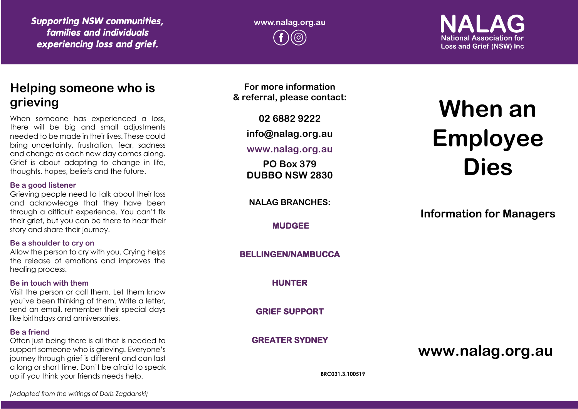*Supporting NSW communities, families and individuals experiencing loss and grief.*

**www.nalag.org.au**

**National Association for Loss and Grief (NSW) Inc.** 

# **Helping someone who is grieving**

When someone has experienced a loss, there will be big and small adjustments needed to be made in their lives. These could bring uncertainty, frustration, fear, sadness and change as each new day comes along. Grief is about adapting to change in life, thoughts, hopes, beliefs and the future.

#### **Be a good listener**

Grieving people need to talk about their loss and acknowledge that they have been through a difficult experience. You can't fix their grief, but you can be there to hear their story and share their journey.

### **Be a shoulder to cry on**

Allow the person to cry with you. Crying helps the release of emotions and improves the healing process.

### **Be in touch with them**

Visit the person or call them. Let them know you've been thinking of them. Write a letter, send an email, remember their special days like birthdays and anniversaries.

### **Be a friend**

Often just being there is all that is needed to support someone who is grieving. Everyone's journey through grief is different and can last a long or short time. Don't be afraid to speak up if you think your friends needs help.

**For more information & referral, please contact:**

**02 6882 9222**

**info@nalag.org.au**

**www.nalag.org.au**

**PO Box 379 DUBBO NSW 2830**

**NALAG BRANCHES:**

**MUDGEE** 

**BELLINGEN/NAMBUCCA** 

**HUNTER** 

**GRIEF SUPPORT** 

**GREATER SYDNEY** 

# **When an Employee Dies**

**Information for Managers**

**www.nalag.org.au**

**BRC031.3.100519**

*(Adapted from the writings of Doris Zagdanski)*